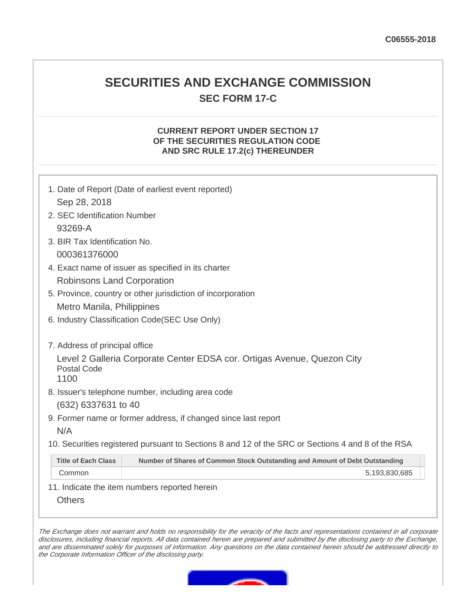# **SECURITIES AND EXCHANGE COMMISSION SEC FORM 17-C**

## **CURRENT REPORT UNDER SECTION 17 OF THE SECURITIES REGULATION CODE AND SRC RULE 17.2(c) THEREUNDER**

|                                | 1. Date of Report (Date of earliest event reported)                                               |
|--------------------------------|---------------------------------------------------------------------------------------------------|
| Sep 28, 2018                   |                                                                                                   |
| 2. SEC Identification Number   |                                                                                                   |
| 93269-A                        |                                                                                                   |
| 3. BIR Tax Identification No.  |                                                                                                   |
| 000361376000                   |                                                                                                   |
|                                | 4. Exact name of issuer as specified in its charter                                               |
| Robinsons Land Corporation     |                                                                                                   |
|                                | 5. Province, country or other jurisdiction of incorporation                                       |
| Metro Manila, Philippines      |                                                                                                   |
|                                | 6. Industry Classification Code (SEC Use Only)                                                    |
|                                |                                                                                                   |
| 7. Address of principal office |                                                                                                   |
|                                | Level 2 Galleria Corporate Center EDSA cor. Ortigas Avenue, Quezon City                           |
| Postal Code<br>1100            |                                                                                                   |
|                                | 8. Issuer's telephone number, including area code                                                 |
| (632) 6337631 to 40            |                                                                                                   |
|                                | 9. Former name or former address, if changed since last report                                    |
| N/A                            |                                                                                                   |
|                                | 10. Securities registered pursuant to Sections 8 and 12 of the SRC or Sections 4 and 8 of the RSA |
| <b>Title of Each Class</b>     | Number of Shares of Common Stock Outstanding and Amount of Debt Outstanding                       |
| Common                         | 5,193,830,685                                                                                     |

11. Indicate the item numbers reported herein

**Others** 

The Exchange does not warrant and holds no responsibility for the veracity of the facts and representations contained in all corporate disclosures, including financial reports. All data contained herein are prepared and submitted by the disclosing party to the Exchange, and are disseminated solely for purposes of information. Any questions on the data contained herein should be addressed directly to the Corporate Information Officer of the disclosing party.

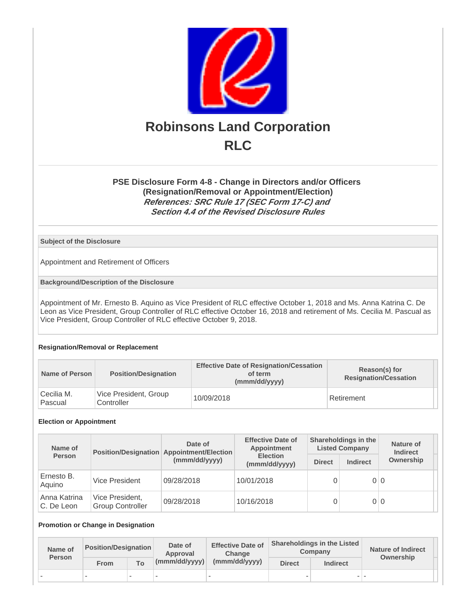

## **PSE Disclosure Form 4-8 - Change in Directors and/or Officers (Resignation/Removal or Appointment/Election) References: SRC Rule 17 (SEC Form 17-C) and Section 4.4 of the Revised Disclosure Rules**

### **Subject of the Disclosure**

Appointment and Retirement of Officers

**Background/Description of the Disclosure**

Appointment of Mr. Ernesto B. Aquino as Vice President of RLC effective October 1, 2018 and Ms. Anna Katrina C. De Leon as Vice President, Group Controller of RLC effective October 16, 2018 and retirement of Ms. Cecilia M. Pascual as Vice President, Group Controller of RLC effective October 9, 2018.

#### **Resignation/Removal or Replacement**

| Name of Person        | <b>Position/Designation</b>         | <b>Effective Date of Resignation/Cessation</b><br>of term<br>(mmm/dd/yyyy) | Reason(s) for<br><b>Resignation/Cessation</b> |  |
|-----------------------|-------------------------------------|----------------------------------------------------------------------------|-----------------------------------------------|--|
| Cecilia M.<br>Pascual | Vice President, Group<br>Controller | 10/09/2018                                                                 | Retirement                                    |  |

#### **Election or Appointment**

| Name of                    |                                            | Date of<br>Position/Designation Appointment/Election | <b>Effective Date of</b><br>Appointment |               | Shareholdings in the<br><b>Listed Company</b> | Nature of<br><b>Indirect</b> |
|----------------------------|--------------------------------------------|------------------------------------------------------|-----------------------------------------|---------------|-----------------------------------------------|------------------------------|
| Person                     |                                            | (mmm/dd/yyyy)                                        | <b>Election</b><br>(mmm/dd/yyyy)        | <b>Direct</b> | <b>Indirect</b>                               | Ownership                    |
| Ernesto B.<br>Aquino       | Vice President                             | 09/28/2018                                           | 10/01/2018                              |               | 0 0                                           |                              |
| Anna Katrina<br>C. De Leon | Vice President,<br><b>Group Controller</b> | 09/28/2018                                           | 10/16/2018                              |               | 0 0                                           |                              |

#### **Promotion or Change in Designation**

| Name of       | <b>Position/Designation</b> |                          | Date of<br>Approval | <b>Effective Date of</b><br><b>Change</b> |               | <b>Shareholdings in the Listed</b><br>Company | <b>Nature of Indirect</b> |
|---------------|-----------------------------|--------------------------|---------------------|-------------------------------------------|---------------|-----------------------------------------------|---------------------------|
| <b>Person</b> | From                        | To:                      | (mmm/dd/yyyy)       | (mmm/dd/yyyy)                             | <b>Direct</b> | <b>Indirect</b>                               | Ownership                 |
|               |                             | $\overline{\phantom{a}}$ |                     |                                           |               |                                               |                           |